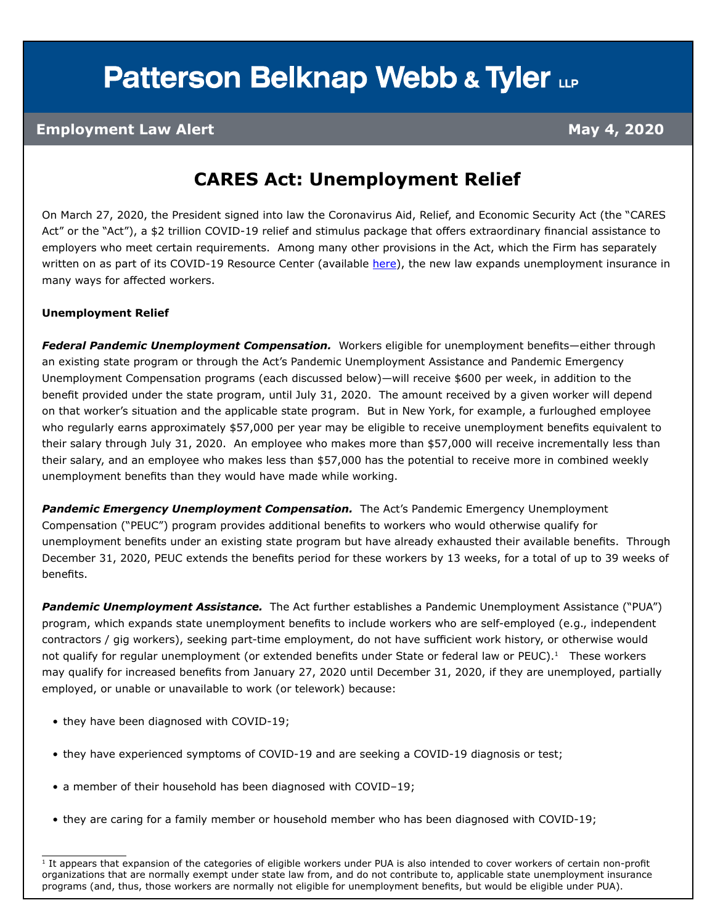# **Patterson Belknap Webb & Tyler LLP**

### **Employment Law Alert May 4, 2020**

### **CARES Act: Unemployment Relief**

On March 27, 2020, the President signed into law the Coronavirus Aid, Relief, and Economic Security Act (the "CARES Act" or the "Act"), a \$2 trillion COVID-19 relief and stimulus package that offers extraordinary financial assistance to employers who meet certain requirements. Among many other provisions in the Act, which the Firm has separately written on as part of its COVID-19 Resource Center (available [here](https://www.pbwt.com/publications/coronavirus-covid-19-resource-center/)), the new law expands unemployment insurance in many ways for affected workers.

#### **Unemployment Relief**

*Federal Pandemic Unemployment Compensation.* Workers eligible for unemployment benefits—either through an existing state program or through the Act's Pandemic Unemployment Assistance and Pandemic Emergency Unemployment Compensation programs (each discussed below)—will receive \$600 per week, in addition to the benefit provided under the state program, until July 31, 2020. The amount received by a given worker will depend on that worker's situation and the applicable state program. But in New York, for example, a furloughed employee who regularly earns approximately \$57,000 per year may be eligible to receive unemployment benefits equivalent to their salary through July 31, 2020. An employee who makes more than \$57,000 will receive incrementally less than their salary, and an employee who makes less than \$57,000 has the potential to receive more in combined weekly unemployment benefits than they would have made while working.

**Pandemic Emergency Unemployment Compensation.** The Act's Pandemic Emergency Unemployment Compensation ("PEUC") program provides additional benefits to workers who would otherwise qualify for unemployment benefits under an existing state program but have already exhausted their available benefits. Through December 31, 2020, PEUC extends the benefits period for these workers by 13 weeks, for a total of up to 39 weeks of benefits.

*Pandemic Unemployment Assistance.* The Act further establishes a Pandemic Unemployment Assistance ("PUA") program, which expands state unemployment benefits to include workers who are self-employed (e.g., independent contractors / gig workers), seeking part-time employment, do not have sufficient work history, or otherwise would not qualify for regular unemployment (or extended benefits under State or federal law or PEUC).<sup>1</sup> These workers may qualify for increased benefits from January 27, 2020 until December 31, 2020, if they are unemployed, partially employed, or unable or unavailable to work (or telework) because:

- they have been diagnosed with COVID-19;
- they have experienced symptoms of COVID-19 and are seeking a COVID-19 diagnosis or test;
- a member of their household has been diagnosed with COVID–19;
- they are caring for a family member or household member who has been diagnosed with COVID-19;

 $1$  It appears that expansion of the categories of eligible workers under PUA is also intended to cover workers of certain non-profit organizations that are normally exempt under state law from, and do not contribute to, applicable state unemployment insurance programs (and, thus, those workers are normally not eligible for unemployment benefits, but would be eligible under PUA).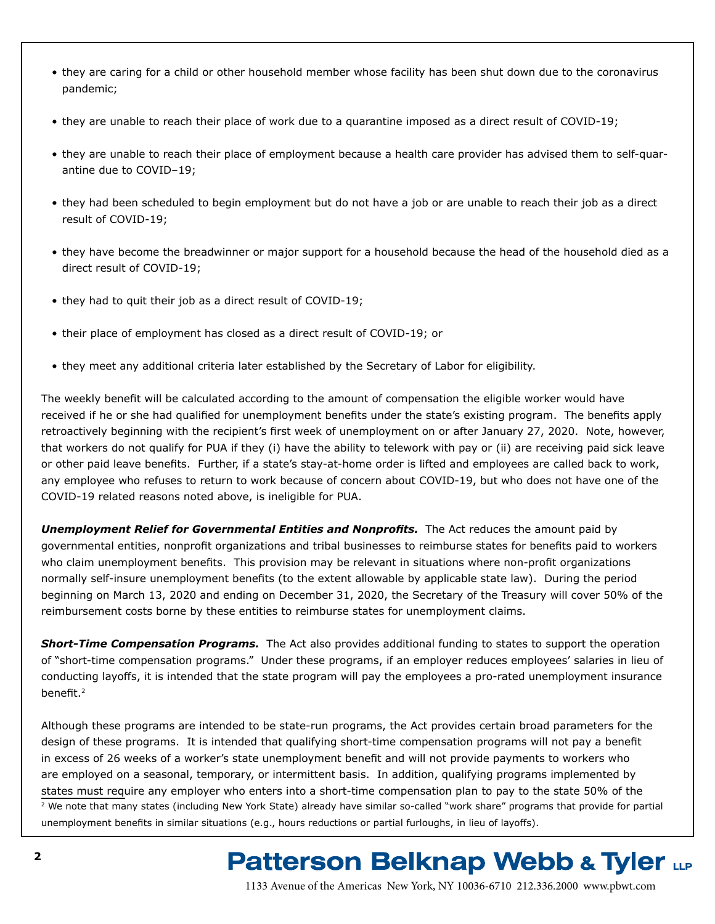- they are caring for a child or other household member whose facility has been shut down due to the coronavirus pandemic;
- they are unable to reach their place of work due to a quarantine imposed as a direct result of COVID-19;
- they are unable to reach their place of employment because a health care provider has advised them to self-quarantine due to COVID–19;
- they had been scheduled to begin employment but do not have a job or are unable to reach their job as a direct result of COVID-19;
- they have become the breadwinner or major support for a household because the head of the household died as a direct result of COVID-19;
- they had to quit their job as a direct result of COVID-19;
- their place of employment has closed as a direct result of COVID-19; or
- they meet any additional criteria later established by the Secretary of Labor for eligibility.

The weekly benefit will be calculated according to the amount of compensation the eligible worker would have received if he or she had qualified for unemployment benefits under the state's existing program. The benefits apply retroactively beginning with the recipient's first week of unemployment on or after January 27, 2020. Note, however, that workers do not qualify for PUA if they (i) have the ability to telework with pay or (ii) are receiving paid sick leave or other paid leave benefits. Further, if a state's stay-at-home order is lifted and employees are called back to work, any employee who refuses to return to work because of concern about COVID-19, but who does not have one of the COVID-19 related reasons noted above, is ineligible for PUA.

**Unemployment Relief for Governmental Entities and Nonprofits.** The Act reduces the amount paid by governmental entities, nonprofit organizations and tribal businesses to reimburse states for benefits paid to workers who claim unemployment benefits. This provision may be relevant in situations where non-profit organizations normally self-insure unemployment benefits (to the extent allowable by applicable state law). During the period beginning on March 13, 2020 and ending on December 31, 2020, the Secretary of the Treasury will cover 50% of the reimbursement costs borne by these entities to reimburse states for unemployment claims.

*Short-Time Compensation Programs.* The Act also provides additional funding to states to support the operation of "short-time compensation programs." Under these programs, if an employer reduces employees' salaries in lieu of conducting layoffs, it is intended that the state program will pay the employees a pro-rated unemployment insurance benefit.<sup>2</sup>

Although these programs are intended to be state-run programs, the Act provides certain broad parameters for the design of these programs. It is intended that qualifying short-time compensation programs will not pay a benefit in excess of 26 weeks of a worker's state unemployment benefit and will not provide payments to workers who are employed on a seasonal, temporary, or intermittent basis. In addition, qualifying programs implemented by states must require any employer who enters into a short-time compensation plan to pay to the state 50% of the  $\frac{2}{3}$  We note that many states (including New York State) already have similar so-called "work share" programs that provide for partial unemployment benefits in similar situations (e.g., hours reductions or partial furloughs, in lieu of layoffs).

## **Patterson Belknap Webb & Tyler LLP**

1133 Avenue of the Americas New York, NY 10036-6710 212.336.2000 <www.pbwt.com>